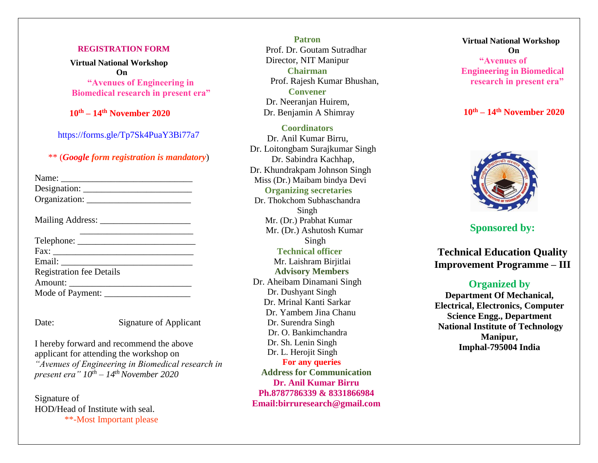#### **REGISTRATION FORM**

 **Virtual National Workshop On "Avenues of Engineering in Biomedical research in present era"**

 **10th – 14th November 2020**

<https://forms.gle/Tp7Sk4PuaY3Bi77a7>

## \*\* (*Google form registration is mandatory*)

| <b>Registration fee Details</b> |
|---------------------------------|
|                                 |
| Mode of Payment:                |
|                                 |

Signature of Applicant

I hereby forward and recommend the above applicant for attending the workshop on *"Avenues of Engineering in Biomedical research in present era" 10th – 14thNovember 2020*

Signature of HOD/Head of Institute with seal. \*\*-Most Important please

**Patron** Prof. Dr. Goutam Sutradhar Director, NIT Manipur **Chairman**  Prof. Rajesh Kumar Bhushan, **Convener**  Dr. Neeranian Huirem. Dr. Benjamin A Shimray

**Coordinators**

Dr. Anil Kumar Birru, Dr. Loitongbam Surajkumar Singh Dr. Sabindra Kachhap, Dr. Khundrakpam Johnson Singh Miss (Dr.) Maibam bindya Devi **Organizing secretaries** Dr. Thokchom Subhaschandra Singh Mr. (Dr.) Prabhat Kumar Mr. (Dr.) Ashutosh Kumar Singh  **Technical officer** Mr. Laishram Birjitlai  **Advisory Members** Dr. Aheibam Dinamani Singh Dr. Dushyant Singh Dr. Mrinal Kanti Sarkar Dr. Yambem Jina Chanu Dr. Surendra Singh Dr. O. Bankimchandra Dr. Sh. Lenin Singh Dr. L. Herojit Singh  **For any queries Address for Communication Dr. Anil Kumar Birru Ph.8787786339 & 8331866984**

 **Virtual National Workshop On "Avenues of Engineering in Biomedical research in present era"**

 **10th – 14th November 2020**



**Sponsored by:**

**Technical Education Quality Improvement Programme – III**

# **Organized by**

**Department Of Mechanical, Electrical, Electronics, Computer Science Engg., Department National Institute of Technology Manipur, Imphal-795004 India**

**Email:birruresearch@gmail.com**